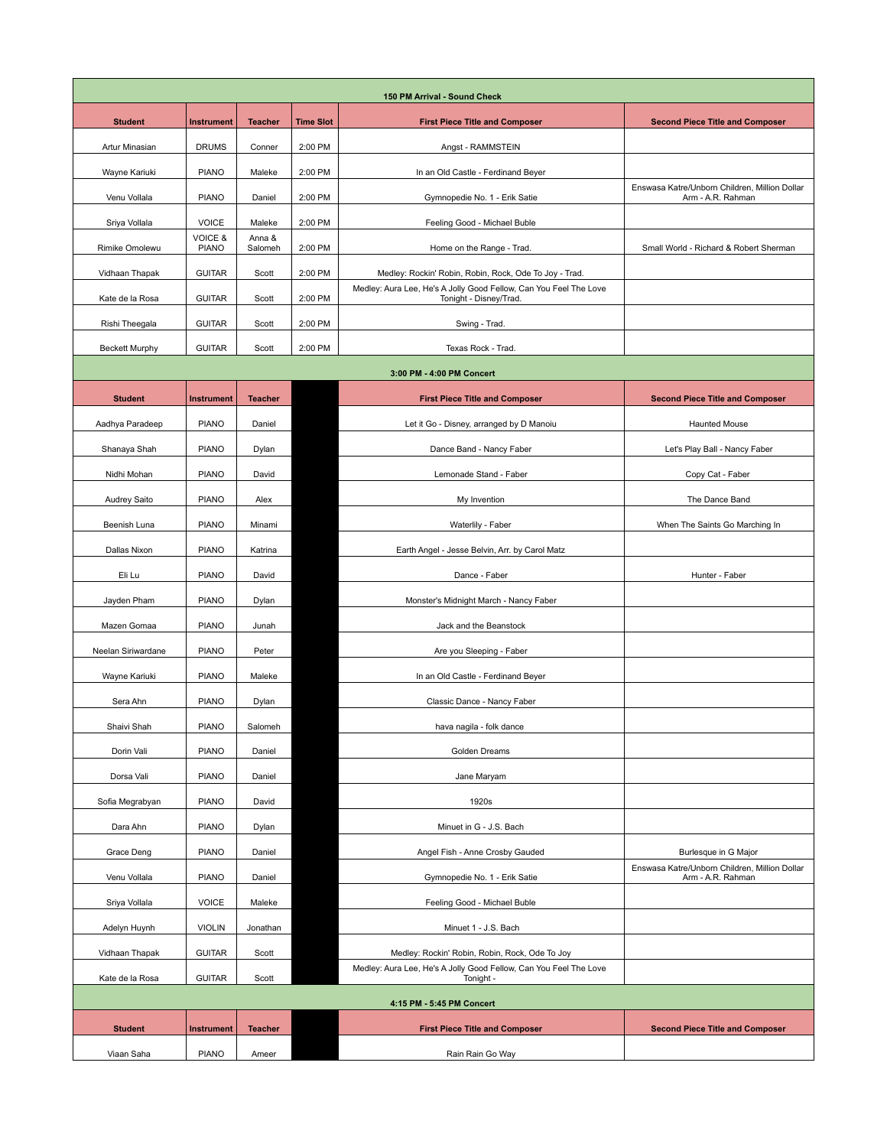| 150 PM Arrival - Sound Check |                                    |                   |                  |                                                                                             |                                                                    |  |  |  |
|------------------------------|------------------------------------|-------------------|------------------|---------------------------------------------------------------------------------------------|--------------------------------------------------------------------|--|--|--|
| <b>Student</b>               | <b>Instrument</b>                  | <b>Teacher</b>    | <b>Time Slot</b> | <b>First Piece Title and Composer</b>                                                       | <b>Second Piece Title and Composer</b>                             |  |  |  |
| Artur Minasian               | <b>DRUMS</b>                       | Conner            | 2:00 PM          | Angst - RAMMSTEIN                                                                           |                                                                    |  |  |  |
| Wayne Kariuki                | <b>PIANO</b>                       | Maleke            | 2:00 PM          | In an Old Castle - Ferdinand Beyer                                                          |                                                                    |  |  |  |
| Venu Vollala                 | <b>PIANO</b>                       | Daniel            | 2:00 PM          | Gymnopedie No. 1 - Erik Satie                                                               | Enswasa Katre/Unborn Children, Million Dollar<br>Arm - A.R. Rahman |  |  |  |
| Sriya Vollala                | <b>VOICE</b>                       | Maleke            | 2:00 PM          | Feeling Good - Michael Buble                                                                |                                                                    |  |  |  |
| Rimike Omolewu               | <b>VOICE &amp;</b><br><b>PIANO</b> | Anna &<br>Salomeh | 2:00 PM          | Home on the Range - Trad.                                                                   | Small World - Richard & Robert Sherman                             |  |  |  |
| Vidhaan Thapak               | <b>GUITAR</b>                      | Scott             | 2:00 PM          | Medley: Rockin' Robin, Robin, Rock, Ode To Joy - Trad.                                      |                                                                    |  |  |  |
| Kate de la Rosa              | <b>GUITAR</b>                      | Scott             | 2:00 PM          | Medley: Aura Lee, He's A Jolly Good Fellow, Can You Feel The Love<br>Tonight - Disney/Trad. |                                                                    |  |  |  |
| Rishi Theegala               | <b>GUITAR</b>                      | Scott             | 2:00 PM          | Swing - Trad.                                                                               |                                                                    |  |  |  |
| <b>Beckett Murphy</b>        | <b>GUITAR</b>                      | Scott             | 2:00 PM          | Texas Rock - Trad.                                                                          |                                                                    |  |  |  |
| 3:00 PM - 4:00 PM Concert    |                                    |                   |                  |                                                                                             |                                                                    |  |  |  |
| <b>Student</b>               | <b>Instrument</b>                  | <b>Teacher</b>    |                  | <b>First Piece Title and Composer</b>                                                       | <b>Second Piece Title and Composer</b>                             |  |  |  |
| Aadhya Paradeep              | <b>PIANO</b>                       | Daniel            |                  | Let it Go - Disney, arranged by D Manoiu                                                    | Haunted Mouse                                                      |  |  |  |
|                              | <b>PIANO</b>                       |                   |                  |                                                                                             |                                                                    |  |  |  |
| Shanaya Shah                 |                                    | Dylan             |                  | Dance Band - Nancy Faber<br>Lemonade Stand - Faber                                          | Let's Play Ball - Nancy Faber                                      |  |  |  |
| Nidhi Mohan                  | <b>PIANO</b>                       | David             |                  |                                                                                             | Copy Cat - Faber                                                   |  |  |  |
| Audrey Saito                 | <b>PIANO</b>                       | Alex              |                  | My Invention                                                                                | The Dance Band                                                     |  |  |  |
| Beenish Luna                 | <b>PIANO</b>                       | Minami            |                  | Waterlily - Faber                                                                           | When The Saints Go Marching In                                     |  |  |  |
| Dallas Nixon                 | <b>PIANO</b>                       | Katrina           |                  | Earth Angel - Jesse Belvin, Arr. by Carol Matz                                              |                                                                    |  |  |  |
| Eli Lu                       | <b>PIANO</b>                       | David             |                  | Dance - Faber                                                                               | Hunter - Faber                                                     |  |  |  |
| Jayden Pham                  | <b>PIANO</b>                       | Dylan             |                  | Monster's Midnight March - Nancy Faber                                                      |                                                                    |  |  |  |
| Mazen Gomaa                  | <b>PIANO</b>                       | Junah             |                  | Jack and the Beanstock                                                                      |                                                                    |  |  |  |
| Neelan Siriwardane           | <b>PIANO</b>                       | Peter             |                  | Are you Sleeping - Faber                                                                    |                                                                    |  |  |  |
| Wayne Kariuki                | <b>PIANO</b>                       | Maleke            |                  | In an Old Castle - Ferdinand Beyer                                                          |                                                                    |  |  |  |
| Sera Ahn                     | <b>PIANO</b>                       | Dylan             |                  | Classic Dance - Nancy Faber                                                                 |                                                                    |  |  |  |
| Shaivi Shah                  | <b>PIANO</b>                       | Salomeh           |                  | hava nagila - folk dance                                                                    |                                                                    |  |  |  |
| Dorin Vali                   | <b>PIANO</b>                       | Daniel            |                  | Golden Dreams                                                                               |                                                                    |  |  |  |
| Dorsa Vali                   | <b>PIANO</b>                       | Daniel            |                  | Jane Maryam                                                                                 |                                                                    |  |  |  |
| Sofia Megrabyan              | <b>PIANO</b>                       | David             |                  | 1920s                                                                                       |                                                                    |  |  |  |
| Dara Ahn                     | <b>PIANO</b>                       | Dylan             |                  | Minuet in G - J.S. Bach                                                                     |                                                                    |  |  |  |
| Grace Deng                   | <b>PIANO</b>                       | Daniel            |                  | Angel Fish - Anne Crosby Gauded                                                             | Burlesque in G Major                                               |  |  |  |
| Venu Vollala                 | <b>PIANO</b>                       | Daniel            |                  | Gymnopedie No. 1 - Erik Satie                                                               | Enswasa Katre/Unborn Children, Million Dollar<br>Arm - A.R. Rahman |  |  |  |
| Sriya Vollala                | <b>VOICE</b>                       | Maleke            |                  | Feeling Good - Michael Buble                                                                |                                                                    |  |  |  |
| Adelyn Huynh                 | <b>VIOLIN</b>                      | Jonathan          |                  | Minuet 1 - J.S. Bach                                                                        |                                                                    |  |  |  |
| Vidhaan Thapak               | <b>GUITAR</b>                      | Scott             |                  | Medley: Rockin' Robin, Robin, Rock, Ode To Joy                                              |                                                                    |  |  |  |
| Kate de la Rosa              | <b>GUITAR</b>                      | Scott             |                  | Medley: Aura Lee, He's A Jolly Good Fellow, Can You Feel The Love<br>Tonight -              |                                                                    |  |  |  |
| 4:15 PM - 5:45 PM Concert    |                                    |                   |                  |                                                                                             |                                                                    |  |  |  |
| <b>Student</b>               | <b>Instrument</b>                  | <b>Teacher</b>    |                  | <b>First Piece Title and Composer</b>                                                       | <b>Second Piece Title and Composer</b>                             |  |  |  |
| Viaan Saha                   | <b>PIANO</b>                       | Ameer             |                  | Rain Rain Go Way                                                                            |                                                                    |  |  |  |